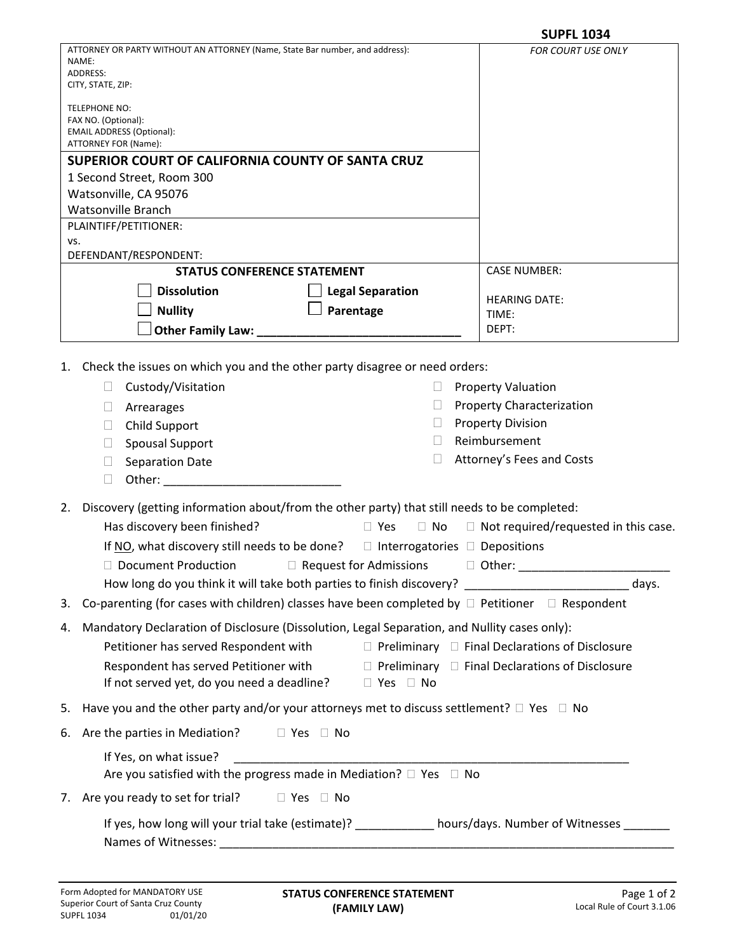|                                                                                                                                                                                                                                                                                                                                                                                                                                                                                                                                                                                                                                                                                                                                                                                                                                                                                                                                                                                                                                                                      | <b>SUPFL 1034</b>                                                                                                                                                                               |  |
|----------------------------------------------------------------------------------------------------------------------------------------------------------------------------------------------------------------------------------------------------------------------------------------------------------------------------------------------------------------------------------------------------------------------------------------------------------------------------------------------------------------------------------------------------------------------------------------------------------------------------------------------------------------------------------------------------------------------------------------------------------------------------------------------------------------------------------------------------------------------------------------------------------------------------------------------------------------------------------------------------------------------------------------------------------------------|-------------------------------------------------------------------------------------------------------------------------------------------------------------------------------------------------|--|
| ATTORNEY OR PARTY WITHOUT AN ATTORNEY (Name, State Bar number, and address):<br>NAME:<br>ADDRESS:<br>CITY, STATE, ZIP:                                                                                                                                                                                                                                                                                                                                                                                                                                                                                                                                                                                                                                                                                                                                                                                                                                                                                                                                               | <b>FOR COURT USE ONLY</b>                                                                                                                                                                       |  |
| TELEPHONE NO:<br>FAX NO. (Optional):<br><b>EMAIL ADDRESS (Optional):</b><br>ATTORNEY FOR (Name):                                                                                                                                                                                                                                                                                                                                                                                                                                                                                                                                                                                                                                                                                                                                                                                                                                                                                                                                                                     |                                                                                                                                                                                                 |  |
| SUPERIOR COURT OF CALIFORNIA COUNTY OF SANTA CRUZ                                                                                                                                                                                                                                                                                                                                                                                                                                                                                                                                                                                                                                                                                                                                                                                                                                                                                                                                                                                                                    |                                                                                                                                                                                                 |  |
| 1 Second Street, Room 300                                                                                                                                                                                                                                                                                                                                                                                                                                                                                                                                                                                                                                                                                                                                                                                                                                                                                                                                                                                                                                            |                                                                                                                                                                                                 |  |
| Watsonville, CA 95076                                                                                                                                                                                                                                                                                                                                                                                                                                                                                                                                                                                                                                                                                                                                                                                                                                                                                                                                                                                                                                                |                                                                                                                                                                                                 |  |
| <b>Watsonville Branch</b><br>PLAINTIFF/PETITIONER:                                                                                                                                                                                                                                                                                                                                                                                                                                                                                                                                                                                                                                                                                                                                                                                                                                                                                                                                                                                                                   |                                                                                                                                                                                                 |  |
| VS.                                                                                                                                                                                                                                                                                                                                                                                                                                                                                                                                                                                                                                                                                                                                                                                                                                                                                                                                                                                                                                                                  |                                                                                                                                                                                                 |  |
| DEFENDANT/RESPONDENT:                                                                                                                                                                                                                                                                                                                                                                                                                                                                                                                                                                                                                                                                                                                                                                                                                                                                                                                                                                                                                                                |                                                                                                                                                                                                 |  |
| <b>STATUS CONFERENCE STATEMENT</b>                                                                                                                                                                                                                                                                                                                                                                                                                                                                                                                                                                                                                                                                                                                                                                                                                                                                                                                                                                                                                                   | <b>CASE NUMBER:</b>                                                                                                                                                                             |  |
| <b>Dissolution</b><br><b>Legal Separation</b>                                                                                                                                                                                                                                                                                                                                                                                                                                                                                                                                                                                                                                                                                                                                                                                                                                                                                                                                                                                                                        | <b>HEARING DATE:</b>                                                                                                                                                                            |  |
| Parentage<br><b>Nullity</b>                                                                                                                                                                                                                                                                                                                                                                                                                                                                                                                                                                                                                                                                                                                                                                                                                                                                                                                                                                                                                                          | TIME:                                                                                                                                                                                           |  |
| Other Family Law: __                                                                                                                                                                                                                                                                                                                                                                                                                                                                                                                                                                                                                                                                                                                                                                                                                                                                                                                                                                                                                                                 | DEPT:                                                                                                                                                                                           |  |
| Check the issues on which you and the other party disagree or need orders:<br>1.<br>Custody/Visitation<br>$\Box$<br>$\Box$<br>Arrearages<br>⊔<br>$\Box$<br>Child Support<br>$\Box$<br><b>Spousal Support</b><br>$\Box$<br><b>Separation Date</b><br>$\Box$<br>$\Box$<br>Other: and the state of the state of the state of the state of the state of the state of the state of the state of the state of the state of the state of the state of the state of the state of the state of the state of the<br>Discovery (getting information about/from the other party) that still needs to be completed:<br>2.<br>Has discovery been finished?<br>$\Box$ Yes<br>$\Box$ No<br>If NO, what discovery still needs to be done? $\Box$ Interrogatories $\Box$ Depositions<br>□ Document Production □ Request for Admissions □ Other: ___________<br>How long do you think it will take both parties to finish discovery? _______________________________<br>Co-parenting (for cases with children) classes have been completed by $\Box$ Petitioner $\Box$ Respondent<br>3. | <b>Property Valuation</b><br><b>Property Characterization</b><br><b>Property Division</b><br>Reimbursement<br>Attorney's Fees and Costs<br>$\Box$ Not required/requested in this case.<br>days. |  |
| Mandatory Declaration of Disclosure (Dissolution, Legal Separation, and Nullity cases only):<br>4.<br>Petitioner has served Respondent with<br>□ Preliminary □ Final Declarations of Disclosure<br>Respondent has served Petitioner with $\Box$ Preliminary $\Box$ Final Declarations of Disclosure<br>If not served yet, do you need a deadline? □ Yes □ No                                                                                                                                                                                                                                                                                                                                                                                                                                                                                                                                                                                                                                                                                                         |                                                                                                                                                                                                 |  |
| Have you and the other party and/or your attorneys met to discuss settlement? $\square$ Yes $\square$ No<br>5.                                                                                                                                                                                                                                                                                                                                                                                                                                                                                                                                                                                                                                                                                                                                                                                                                                                                                                                                                       |                                                                                                                                                                                                 |  |
| Are the parties in Mediation?<br>$\Box$ Yes $\Box$ No<br>6.                                                                                                                                                                                                                                                                                                                                                                                                                                                                                                                                                                                                                                                                                                                                                                                                                                                                                                                                                                                                          |                                                                                                                                                                                                 |  |
| If Yes, on what issue?<br>Are you satisfied with the progress made in Mediation? $\Box$ Yes $\Box$ No                                                                                                                                                                                                                                                                                                                                                                                                                                                                                                                                                                                                                                                                                                                                                                                                                                                                                                                                                                |                                                                                                                                                                                                 |  |
| 7. Are you ready to set for trial?<br>$\Box$ Yes $\Box$ No                                                                                                                                                                                                                                                                                                                                                                                                                                                                                                                                                                                                                                                                                                                                                                                                                                                                                                                                                                                                           |                                                                                                                                                                                                 |  |
| If yes, how long will your trial take (estimate)? ___________ hours/days. Number of Witnesses ______                                                                                                                                                                                                                                                                                                                                                                                                                                                                                                                                                                                                                                                                                                                                                                                                                                                                                                                                                                 |                                                                                                                                                                                                 |  |